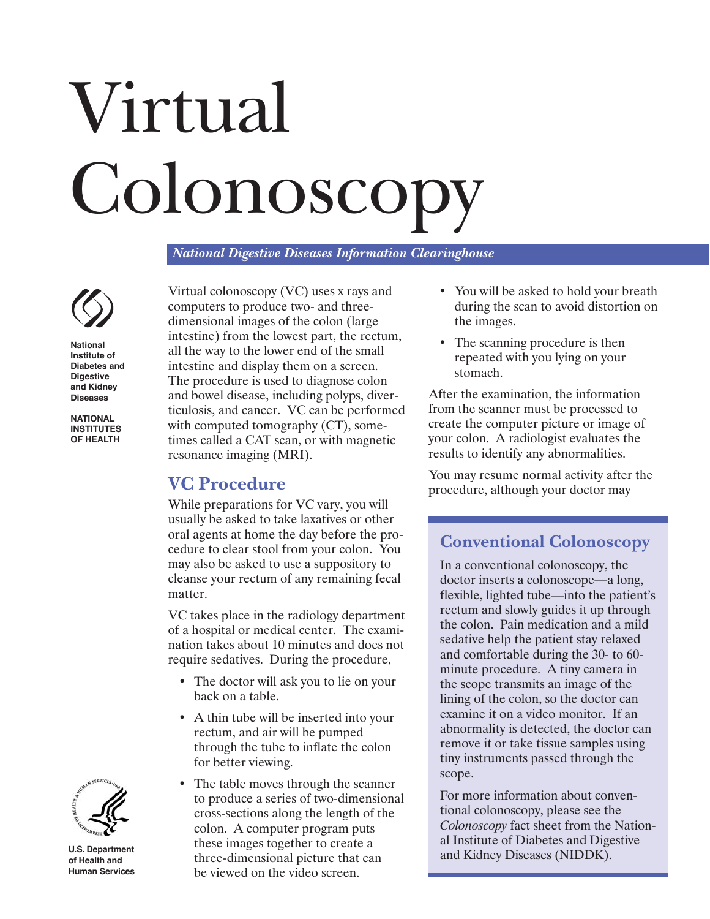# Virtual Colonoscopy

*National Digestive Diseases Information Clearinghouse*



**National Institute of Diabetes and Digestive and Kidney Diseases**

**NATIONAL INSTITUTES OF HEALTH**

Virtual colonoscopy (VC) uses x rays and computers to produce two- and threedimensional images of the colon (large intestine) from the lowest part, the rectum, all the way to the lower end of the small intestine and display them on a screen. The procedure is used to diagnose colon and bowel disease, including polyps, diverticulosis, and cancer. VC can be performed with computed tomography (CT), sometimes called a CAT scan, or with magnetic resonance imaging (MRI).

#### **VC Procedure**

While preparations for VC vary, you will usually be asked to take laxatives or other oral agents at home the day before the procedure to clear stool from your colon. You may also be asked to use a suppository to cleanse your rectum of any remaining fecal matter.

VC takes place in the radiology department of a hospital or medical center. The examination takes about 10 minutes and does not require sedatives. During the procedure,

- The doctor will ask you to lie on your back on a table.
- A thin tube will be inserted into your rectum, and air will be pumped through the tube to inflate the colon for better viewing.
- The table moves through the scanner to produce a series of two-dimensional cross-sections along the length of the colon. A computer program puts these images together to create a three-dimensional picture that can be viewed on the video screen.
- You will be asked to hold your breath during the scan to avoid distortion on the images.
- The scanning procedure is then repeated with you lying on your stomach.

After the examination, the information from the scanner must be processed to create the computer picture or image of your colon. A radiologist evaluates the results to identify any abnormalities.

You may resume normal activity after the procedure, although your doctor may

## **Conventional Colonoscopy**

In a conventional colonoscopy, the doctor inserts a colonoscope—a long, flexible, lighted tube—into the patient's rectum and slowly guides it up through the colon. Pain medication and a mild sedative help the patient stay relaxed and comfortable during the 30- to 60 minute procedure. A tiny camera in the scope transmits an image of the lining of the colon, so the doctor can examine it on a video monitor. If an abnormality is detected, the doctor can remove it or take tissue samples using tiny instruments passed through the scope.

For more information about conventional colonoscopy, please see the *Colonoscopy* fact sheet from the National Institute of Diabetes and Digestive and Kidney Diseases (NIDDK).



**U.S. Department of Health and Human Services**